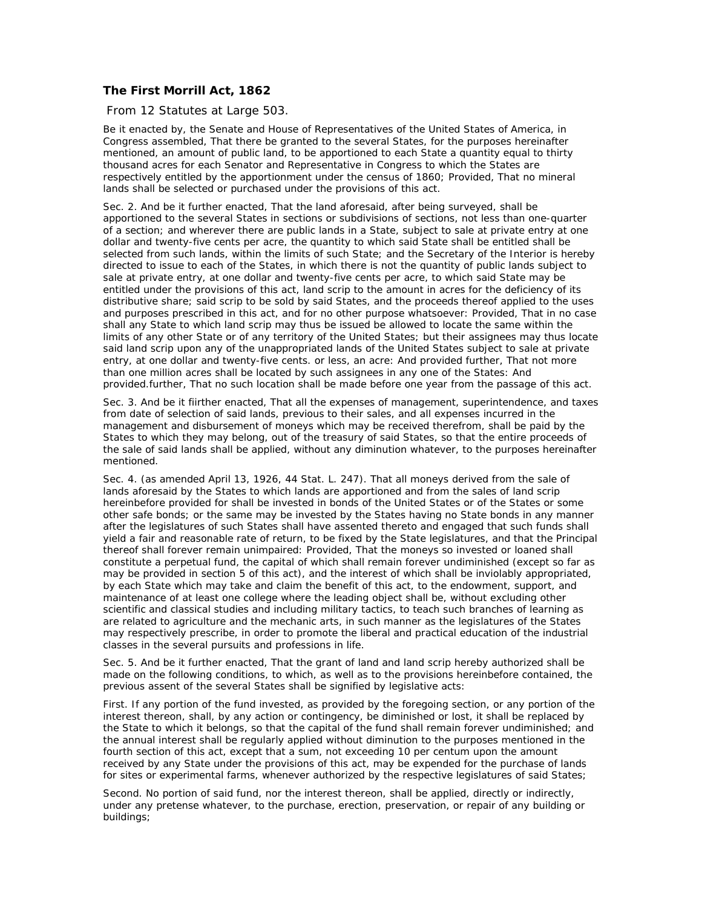## **The First Morrill Act, 1862**

*From 12 Statutes at Large 503.*

*Be it enacted by, the Senate and House of Representatives of the United States of America, in Congress assembled,* That there be granted to the several States, for the purposes hereinafter mentioned, an amount of public land, to be apportioned to each State a quantity equal to thirty thousand acres for each Senator and Representative in Congress to which the States are respectively entitled by the apportionment under the census of 1860; *Provided,* That no mineral lands shall be selected or purchased under the provisions of this act.

Sec. 2. *And be it further enacted,* That the land aforesaid, after being surveyed, shall be apportioned to the several States in sections or subdivisions of sections, not less than one-quarter of a section; and wherever there are public lands in a State, subject to sale at private entry at one dollar and twenty-five cents per acre, the quantity to which said State shall be entitled shall be selected from such lands, within the limits of such State; and the Secretary of the Interior is hereby directed to issue to each of the States, in which there is not the quantity of public lands subject to sale at private entry, at one dollar and twenty-five cents per acre, to which said State may be entitled under the provisions of this act, land scrip to the amount in acres for the deficiency of its distributive share; said scrip to be sold by said States, and the proceeds thereof applied to the uses and purposes prescribed in this act, and for no other purpose whatsoever: *Provided,* That in no case shall any State to which land scrip may thus be issued be allowed to locate the same within the limits of any other State or of any territory of the United States; but their assignees may thus locate said land scrip upon any of the unappropriated lands of the United States subject to sale at private entry, at one dollar and twenty-five cents. or less, an acre: *And provided further,* That not more than one million acres shall be located by such assignees in any one of the States: *And provided.further,* That no such location shall be made before one year from the passage of this act.

Sec. 3. *And be it fiirther enacted,* That all the expenses of management, superintendence, and taxes from date of selection of said lands, previous to their sales, and all expenses incurred in the management and disbursement of moneys which may be received therefrom, shall be paid by the States to which they may belong, out of the treasury of said States, so that the entire proceeds of the sale of said lands shall be applied, without any diminution whatever, to the purposes hereinafter mentioned.

Sec. 4. (as amended April 13, 1926, 44 Stat. L. 247). That all moneys derived from the sale of lands aforesaid by the States to which lands are apportioned and from the sales of land scrip hereinbefore provided for shall be invested in bonds of the United States or of the States or some other safe bonds; or the same may be invested by the States having no State bonds in any manner after the legislatures of such States shall have assented thereto and engaged that such funds shall yield a fair and reasonable rate of return, to be fixed by the State legislatures, and that the Principal thereof shall forever remain unimpaired: *Provided,* That the moneys so invested or loaned shall constitute a perpetual fund, the capital of which shall remain forever undiminished (except so far as may be provided in section 5 of this act), and the interest of which shall be inviolably appropriated, by each State which may take and claim the benefit of this act, to the endowment, support, and maintenance of at least one college where the leading object shall be, without excluding other scientific and classical studies and including military tactics, to teach such branches of learning as are related to agriculture and the mechanic arts, in such manner as the legislatures of the States may respectively prescribe, in order to promote the liberal and practical education of the industrial classes in the several pursuits and professions in life.

Sec. 5. *And be it further enacted,* That the grant of land and land scrip hereby authorized shall be made on the following conditions, to which, as well as to the provisions hereinbefore contained, the previous assent of the several States shall be signified by legislative acts:

*First. If* any portion of the fund invested, as provided by the foregoing section, or any portion of the interest thereon, shall, by any action or contingency, be diminished or lost, it shall be replaced by the State to which it belongs, so that the capital of the fund shall remain forever undiminished; and the annual interest shall be regularly applied without diminution to the purposes mentioned in the fourth section of this act, except that a sum, not exceeding 10 per centum upon the amount received by any State under the provisions of this act, may be expended for the purchase *of* lands for sites or experimental farms, whenever authorized by the respective legislatures of said States;

*Second.* No portion of said fund, nor the interest thereon, shall be applied, directly or indirectly, under any pretense whatever, to the purchase, erection, preservation, or repair of any building or buildings;